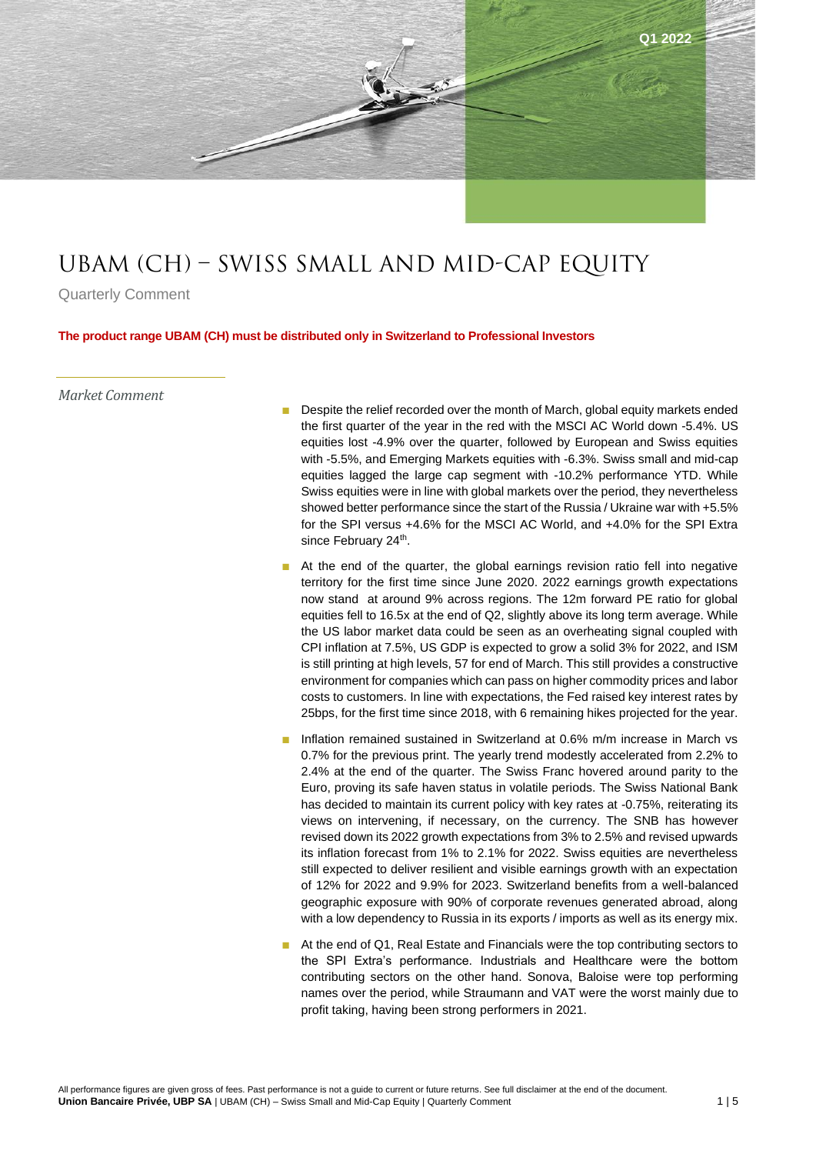

# UBAM (CH) – Swiss Small and mid-cap Equity

Quarterly Comment

**The product range UBAM (CH) must be distributed only in Switzerland to Professional Investors**

## *Market Comment*

- Despite the relief recorded over the month of March, global equity markets ended the first quarter of the year in the red with the MSCI AC World down -5.4%. US equities lost -4.9% over the quarter, followed by European and Swiss equities with -5.5%, and Emerging Markets equities with -6.3%. Swiss small and mid-cap equities lagged the large cap segment with -10.2% performance YTD. While Swiss equities were in line with global markets over the period, they nevertheless showed better performance since the start of the Russia / Ukraine war with +5.5% for the SPI versus +4.6% for the MSCI AC World, and +4.0% for the SPI Extra since February 24<sup>th</sup>.
- At the end of the quarter, the global earnings revision ratio fell into negative territory for the first time since June 2020. 2022 earnings growth expectations now stand at around 9% across regions. The 12m forward PE ratio for global equities fell to 16.5x at the end of Q2, slightly above its long term average. While the US labor market data could be seen as an overheating signal coupled with CPI inflation at 7.5%, US GDP is expected to grow a solid 3% for 2022, and ISM is still printing at high levels, 57 for end of March. This still provides a constructive environment for companies which can pass on higher commodity prices and labor costs to customers. In line with expectations, the Fed raised key interest rates by 25bps, for the first time since 2018, with 6 remaining hikes projected for the year.
- Inflation remained sustained in Switzerland at 0.6% m/m increase in March vs 0.7% for the previous print. The yearly trend modestly accelerated from 2.2% to 2.4% at the end of the quarter. The Swiss Franc hovered around parity to the Euro, proving its safe haven status in volatile periods. The Swiss National Bank has decided to maintain its current policy with key rates at -0.75%, reiterating its views on intervening, if necessary, on the currency. The SNB has however revised down its 2022 growth expectations from 3% to 2.5% and revised upwards its inflation forecast from 1% to 2.1% for 2022. Swiss equities are nevertheless still expected to deliver resilient and visible earnings growth with an expectation of 12% for 2022 and 9.9% for 2023. Switzerland benefits from a well-balanced geographic exposure with 90% of corporate revenues generated abroad, along with a low dependency to Russia in its exports / imports as well as its energy mix.
- At the end of Q1, Real Estate and Financials were the top contributing sectors to the SPI Extra's performance. Industrials and Healthcare were the bottom contributing sectors on the other hand. Sonova, Baloise were top performing names over the period, while Straumann and VAT were the worst mainly due to profit taking, having been strong performers in 2021.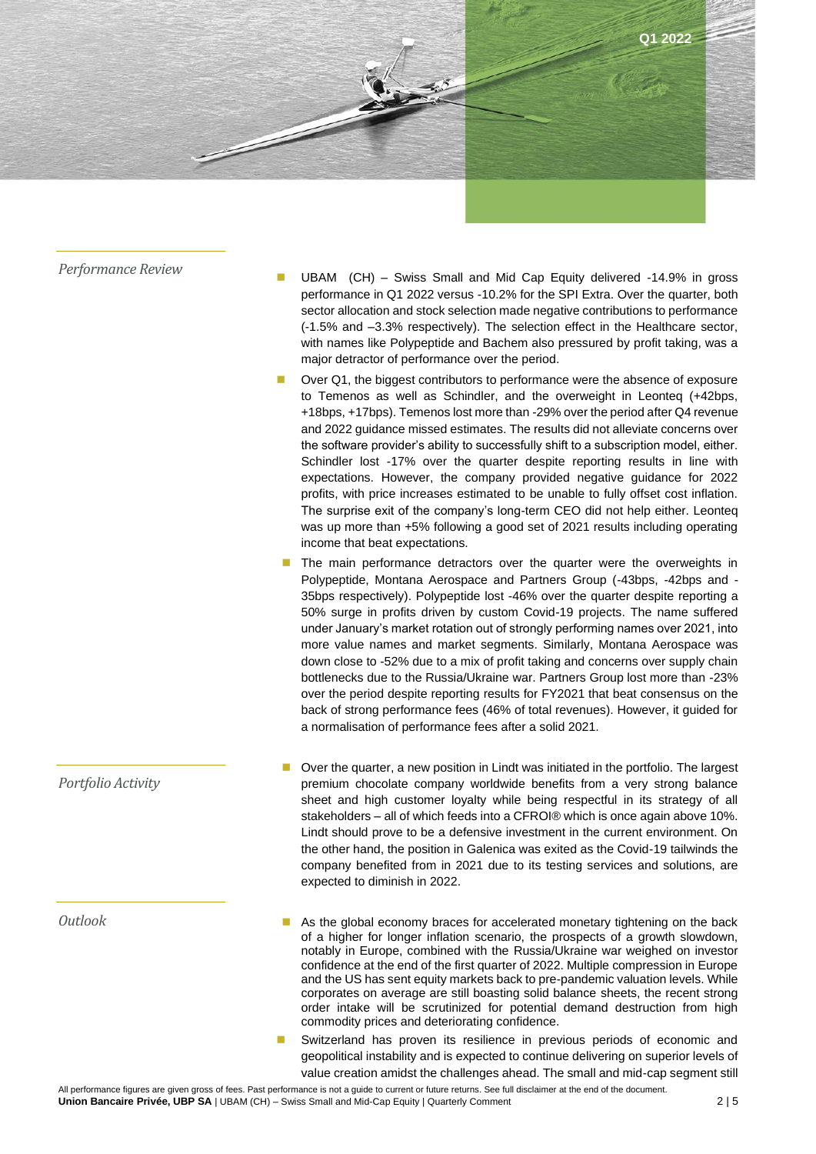

*Portfolio Activity*

*Outlook*

- *Performance Review*  **UBAM (CH) Swiss Small and Mid Cap Equity delivered -14.9% in gross** performance in Q1 2022 versus -10.2% for the SPI Extra. Over the quarter, both sector allocation and stock selection made negative contributions to performance (-1.5% and –3.3% respectively). The selection effect in the Healthcare sector, with names like Polypeptide and Bachem also pressured by profit taking, was a major detractor of performance over the period.
	- Over Q1, the biggest contributors to performance were the absence of exposure to Temenos as well as Schindler, and the overweight in Leonteq (+42bps, +18bps, +17bps). Temenos lost more than -29% over the period after Q4 revenue and 2022 guidance missed estimates. The results did not alleviate concerns over the software provider's ability to successfully shift to a subscription model, either. Schindler lost -17% over the quarter despite reporting results in line with expectations. However, the company provided negative guidance for 2022 profits, with price increases estimated to be unable to fully offset cost inflation. The surprise exit of the company's long-term CEO did not help either. Leonteq was up more than +5% following a good set of 2021 results including operating income that beat expectations.
	- The main performance detractors over the quarter were the overweights in Polypeptide, Montana Aerospace and Partners Group (-43bps, -42bps and - 35bps respectively). Polypeptide lost -46% over the quarter despite reporting a 50% surge in profits driven by custom Covid-19 projects. The name suffered under January's market rotation out of strongly performing names over 2021, into more value names and market segments. Similarly, Montana Aerospace was down close to -52% due to a mix of profit taking and concerns over supply chain bottlenecks due to the Russia/Ukraine war. Partners Group lost more than -23% over the period despite reporting results for FY2021 that beat consensus on the back of strong performance fees (46% of total revenues). However, it guided for a normalisation of performance fees after a solid 2021.
	- Over the quarter, a new position in Lindt was initiated in the portfolio. The largest premium chocolate company worldwide benefits from a very strong balance sheet and high customer loyalty while being respectful in its strategy of all stakeholders – all of which feeds into a CFROI® which is once again above 10%. Lindt should prove to be a defensive investment in the current environment. On the other hand, the position in Galenica was exited as the Covid-19 tailwinds the company benefited from in 2021 due to its testing services and solutions, are expected to diminish in 2022.
	- As the global economy braces for accelerated monetary tightening on the back of a higher for longer inflation scenario, the prospects of a growth slowdown, notably in Europe, combined with the Russia/Ukraine war weighed on investor confidence at the end of the first quarter of 2022. Multiple compression in Europe and the US has sent equity markets back to pre-pandemic valuation levels. While corporates on average are still boasting solid balance sheets, the recent strong order intake will be scrutinized for potential demand destruction from high commodity prices and deteriorating confidence.
	- Switzerland has proven its resilience in previous periods of economic and geopolitical instability and is expected to continue delivering on superior levels of value creation amidst the challenges ahead. The small and mid-cap segment still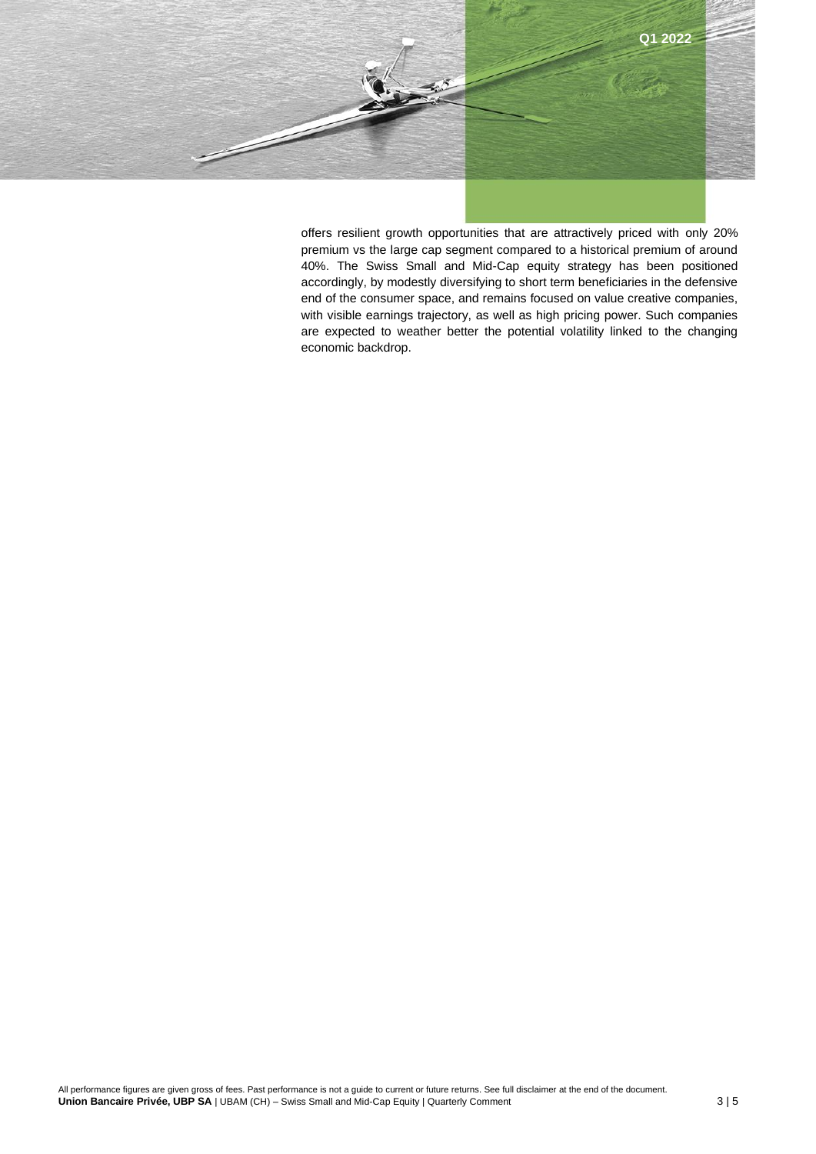

offers resilient growth opportunities that are attractively priced with only 20% premium vs the large cap segment compared to a historical premium of around 40%. The Swiss Small and Mid-Cap equity strategy has been positioned accordingly, by modestly diversifying to short term beneficiaries in the defensive end of the consumer space, and remains focused on value creative companies, with visible earnings trajectory, as well as high pricing power. Such companies are expected to weather better the potential volatility linked to the changing economic backdrop.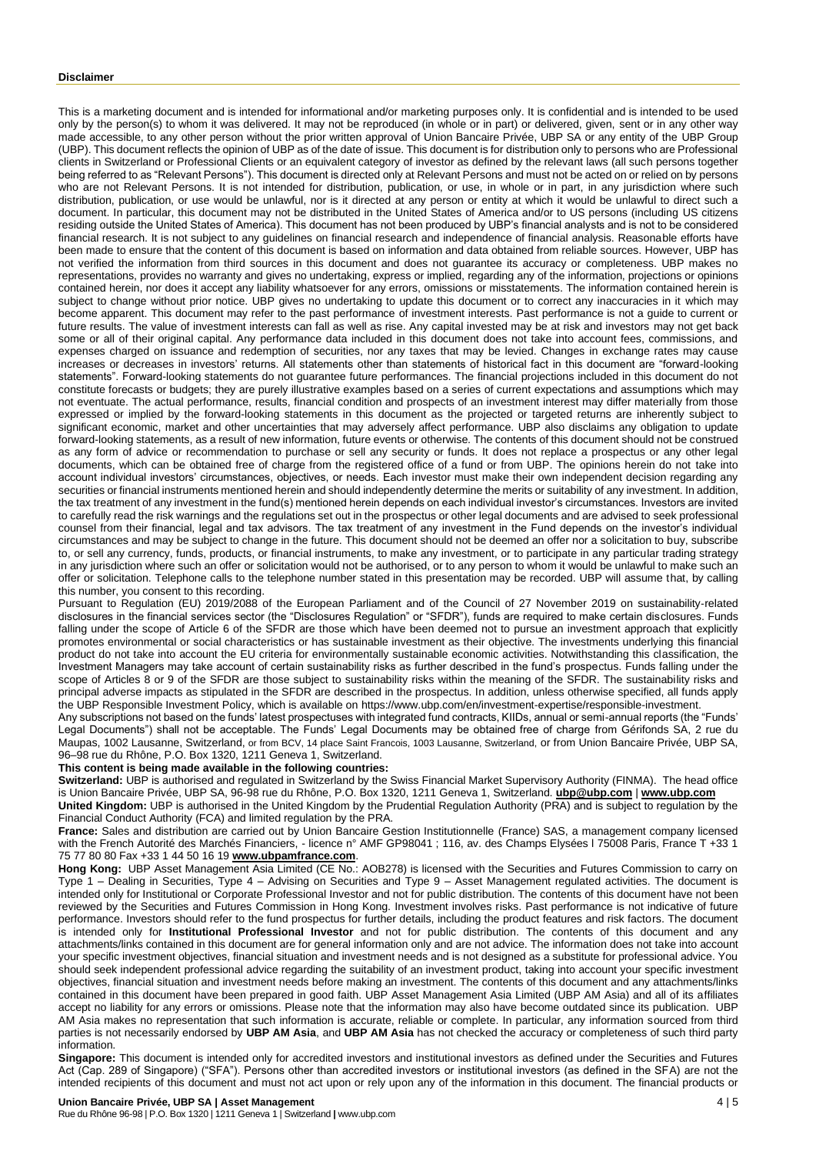#### **Disclaimer**

This is a marketing document and is intended for informational and/or marketing purposes only. It is confidential and is intended to be used only by the person(s) to whom it was delivered. It may not be reproduced (in whole or in part) or delivered, given, sent or in any other way made accessible, to any other person without the prior written approval of Union Bancaire Privée, UBP SA or any entity of the UBP Group (UBP). This document reflects the opinion of UBP as of the date of issue. This document is for distribution only to persons who are Professional clients in Switzerland or Professional Clients or an equivalent category of investor as defined by the relevant laws (all such persons together being referred to as "Relevant Persons"). This document is directed only at Relevant Persons and must not be acted on or relied on by persons who are not Relevant Persons. It is not intended for distribution, publication, or use, in whole or in part, in any jurisdiction where such distribution, publication, or use would be unlawful, nor is it directed at any person or entity at which it would be unlawful to direct such a document. In particular, this document may not be distributed in the United States of America and/or to US persons (including US citizens residing outside the United States of America). This document has not been produced by UBP's financial analysts and is not to be considered financial research. It is not subject to any guidelines on financial research and independence of financial analysis. Reasonable efforts have been made to ensure that the content of this document is based on information and data obtained from reliable sources. However, UBP has not verified the information from third sources in this document and does not guarantee its accuracy or completeness. UBP makes no representations, provides no warranty and gives no undertaking, express or implied, regarding any of the information, projections or opinions contained herein, nor does it accept any liability whatsoever for any errors, omissions or misstatements. The information contained herein is subject to change without prior notice. UBP gives no undertaking to update this document or to correct any inaccuracies in it which may become apparent. This document may refer to the past performance of investment interests. Past performance is not a guide to current or future results. The value of investment interests can fall as well as rise. Any capital invested may be at risk and investors may not get back some or all of their original capital. Any performance data included in this document does not take into account fees, commissions, and expenses charged on issuance and redemption of securities, nor any taxes that may be levied. Changes in exchange rates may cause increases or decreases in investors' returns. All statements other than statements of historical fact in this document are "forward-looking statements". Forward-looking statements do not guarantee future performances. The financial projections included in this document do not constitute forecasts or budgets; they are purely illustrative examples based on a series of current expectations and assumptions which may not eventuate. The actual performance, results, financial condition and prospects of an investment interest may differ materially from those expressed or implied by the forward-looking statements in this document as the projected or targeted returns are inherently subject to significant economic, market and other uncertainties that may adversely affect performance. UBP also disclaims any obligation to update forward-looking statements, as a result of new information, future events or otherwise. The contents of this document should not be construed as any form of advice or recommendation to purchase or sell any security or funds. It does not replace a prospectus or any other legal documents, which can be obtained free of charge from the registered office of a fund or from UBP. The opinions herein do not take into account individual investors' circumstances, objectives, or needs. Each investor must make their own independent decision regarding any securities or financial instruments mentioned herein and should independently determine the merits or suitability of any investment. In addition, the tax treatment of any investment in the fund(s) mentioned herein depends on each individual investor's circumstances. Investors are invited to carefully read the risk warnings and the regulations set out in the prospectus or other legal documents and are advised to seek professional counsel from their financial, legal and tax advisors. The tax treatment of any investment in the Fund depends on the investor's individual circumstances and may be subject to change in the future. This document should not be deemed an offer nor a solicitation to buy, subscribe to, or sell any currency, funds, products, or financial instruments, to make any investment, or to participate in any particular trading strategy in any jurisdiction where such an offer or solicitation would not be authorised, or to any person to whom it would be unlawful to make such an offer or solicitation. Telephone calls to the telephone number stated in this presentation may be recorded. UBP will assume that, by calling this number, you consent to this recording.

Pursuant to Regulation (EU) 2019/2088 of the European Parliament and of the Council of 27 November 2019 on sustainability-related disclosures in the financial services sector (the "Disclosures Regulation" or "SFDR"), funds are required to make certain disclosures. Funds falling under the scope of Article 6 of the SFDR are those which have been deemed not to pursue an investment approach that explicitly promotes environmental or social characteristics or has sustainable investment as their objective. The investments underlying this financial product do not take into account the EU criteria for environmentally sustainable economic activities. Notwithstanding this classification, the Investment Managers may take account of certain sustainability risks as further described in the fund's prospectus. Funds falling under the scope of Articles 8 or 9 of the SFDR are those subject to sustainability risks within the meaning of the SFDR. The sustainability risks and principal adverse impacts as stipulated in the SFDR are described in the prospectus. In addition, unless otherwise specified, all funds apply the UBP Responsible Investment Policy, which is available o[n https://www.ubp.com/en/investment-expertise/responsible-investment.](https://www.ubp.com/en/investment-expertise/responsible-investment)

Any subscriptions not based on the funds' latest prospectuses with integrated fund contracts, KIIDs, annual or semi-annual reports (the "Funds' Legal Documents") shall not be acceptable. The Funds' Legal Documents may be obtained free of charge from Gérifonds SA, 2 rue du Maupas, 1002 Lausanne, Switzerland, or from BCV, 14 place Saint Francois, 1003 Lausanne, Switzerland, or from Union Bancaire Privée, UBP SA, 96–98 rue du Rhône, P.O. Box 1320, 1211 Geneva 1, Switzerland.

### **This content is being made available in the following countries:**

**Switzerland:** UBP is authorised and regulated in Switzerland by the Swiss Financial Market Supervisory Authority (FINMA). The head office is Union Bancaire Privée, UBP SA, 96-98 rue du Rhône, P.O. Box 1320, 1211 Geneva 1, Switzerland. **[ubp@ubp.com](mailto:ubp@ubp.com)** | **[www.ubp.com](http://www.ubp.com/) United Kingdom:** UBP is authorised in the United Kingdom by the Prudential Regulation Authority (PRA) and is subject to regulation by the Financial Conduct Authority (FCA) and limited regulation by the PRA.

**France:** Sales and distribution are carried out by Union Bancaire Gestion Institutionnelle (France) SAS, a management company licensed with the French Autorité des Marchés Financiers, - licence n° AMF GP98041 ; 116, av. des Champs Elysées l 75008 Paris, France T +33 1 75 77 80 80 Fax +33 1 44 50 16 19 **[www.ubpamfrance.com](http://www.ubpamfrance.com/)**.

Hong Kong: UBP Asset Management Asia Limited (CE No.: AOB278) is licensed with the Securities and Futures Commission to carry on Type 1 – Dealing in Securities, Type 4 – Advising on Securities and Type 9 – Asset Management regulated activities. The document is intended only for Institutional or Corporate Professional Investor and not for public distribution. The contents of this document have not been reviewed by the Securities and Futures Commission in Hong Kong. Investment involves risks. Past performance is not indicative of future performance. Investors should refer to the fund prospectus for further details, including the product features and risk factors. The document is intended only for **Institutional Professional Investor** and not for public distribution. The contents of this document and any attachments/links contained in this document are for general information only and are not advice. The information does not take into account your specific investment objectives, financial situation and investment needs and is not designed as a substitute for professional advice. You should seek independent professional advice regarding the suitability of an investment product, taking into account your specific investment objectives, financial situation and investment needs before making an investment. The contents of this document and any attachments/links contained in this document have been prepared in good faith. UBP Asset Management Asia Limited (UBP AM Asia) and all of its affiliates accept no liability for any errors or omissions. Please note that the information may also have become outdated since its publication. UBP AM Asia makes no representation that such information is accurate, reliable or complete. In particular, any information sourced from third parties is not necessarily endorsed by **UBP AM Asia**, and **UBP AM Asia** has not checked the accuracy or completeness of such third party information.

**Singapore:** This document is intended only for accredited investors and institutional investors as defined under the Securities and Futures Act (Cap. 289 of Singapore) ("SFA"). Persons other than accredited investors or institutional investors (as defined in the SFA) are not the intended recipients of this document and must not act upon or rely upon any of the information in this document. The financial products or

## **Union Bancaire Privée, UBP SA | Asset Management** 4 | 5

Rue du Rhône 96-98 | P.O. Box 1320 | 1211 Geneva 1 | Switzerland **|** [www.ubp.com](http://www.ubp.com/)